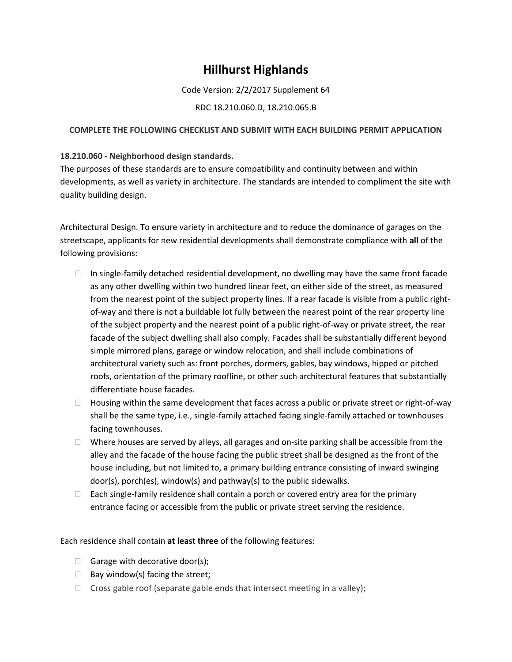# **Hillhurst Highlands**

Code Version: 2/2/2017 Supplement 64

### RDC 18.210.060.D, 18.210.065.B

#### **COMPLETE THE FOLLOWING CHECKLIST AND SUBMIT WITH EACH BUILDING PERMIT APPLICATION**

#### **18.210.060 - Neighborhood design standards.**

The purposes of these standards are to ensure compatibility and continuity between and within developments, as well as variety in architecture. The standards are intended to compliment the site with quality building design.

Architectural Design. To ensure variety in architecture and to reduce the dominance of garages on the streetscape, applicants for new residential developments shall demonstrate compliance with **all** of the following provisions:

- $\Box$  In single-family detached residential development, no dwelling may have the same front facade as any other dwelling within two hundred linear feet, on either side of the street, as measured from the nearest point of the subject property lines. If a rear facade is visible from a public rightof-way and there is not a buildable lot fully between the nearest point of the rear property line of the subject property and the nearest point of a public right-of-way or private street, the rear facade of the subject dwelling shall also comply. Facades shall be substantially different beyond simple mirrored plans, garage or window relocation, and shall include combinations of architectural variety such as: front porches, dormers, gables, bay windows, hipped or pitched roofs, orientation of the primary roofline, or other such architectural features that substantially differentiate house facades.
- □ Housing within the same development that faces across a public or private street or right-of-way shall be the same type, i.e., single-family attached facing single-family attached or townhouses facing townhouses.
- $\Box$  Where houses are served by alleys, all garages and on-site parking shall be accessible from the alley and the facade of the house facing the public street shall be designed as the front of the house including, but not limited to, a primary building entrance consisting of inward swinging door(s), porch(es), window(s) and pathway(s) to the public sidewalks.
- $\Box$  Each single-family residence shall contain a porch or covered entry area for the primary entrance facing or accessible from the public or private street serving the residence.

Each residence shall contain **at least three** of the following features:

- $\Box$  Garage with decorative door(s);
- $\Box$  Bay window(s) facing the street;
- $\Box$  Cross gable roof (separate gable ends that intersect meeting in a valley);